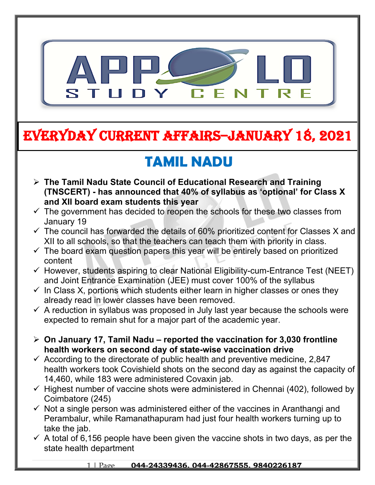

# **EVERYDAY CURRENT AFFAIRS–JANUARY 18, 2021**

# **TAMIL NADU**

- **The Tamil Nadu State Council of Educational Research and Training (TNSCERT) - has announced that 40% of syllabus as 'optional' for Class X and XII board exam students this year**
- $\checkmark$  The government has decided to reopen the schools for these two classes from January 19
- $\checkmark$  The council has forwarded the details of 60% prioritized content for Classes X and XII to all schools, so that the teachers can teach them with priority in class.
- $\checkmark$  The board exam question papers this year will be entirely based on prioritized content
- $\checkmark$  However, students aspiring to clear National Eligibility-cum-Entrance Test (NEET) and Joint Entrance Examination (JEE) must cover 100% of the syllabus
- $\checkmark$  In Class X, portions which students either learn in higher classes or ones they already read in lower classes have been removed.
- $\checkmark$  A reduction in syllabus was proposed in July last year because the schools were expected to remain shut for a major part of the academic year.
- **On January 17, Tamil Nadu reported the vaccination for 3,030 frontline health workers on second day of state-wise vaccination drive**
- $\checkmark$  According to the directorate of public health and preventive medicine, 2,847 health workers took Covishield shots on the second day as against the capacity of 14,460, while 183 were administered Covaxin jab.
- $\checkmark$  Highest number of vaccine shots were administered in Chennai (402), followed by Coimbatore (245)
- $\checkmark$  Not a single person was administered either of the vaccines in Aranthangi and Perambalur, while Ramanathapuram had just four health workers turning up to take the jab.
- $\checkmark$  A total of 6,156 people have been given the vaccine shots in two days, as per the state health department

#### 1 | Page **044-24339436, 044-42867555, 9840226187**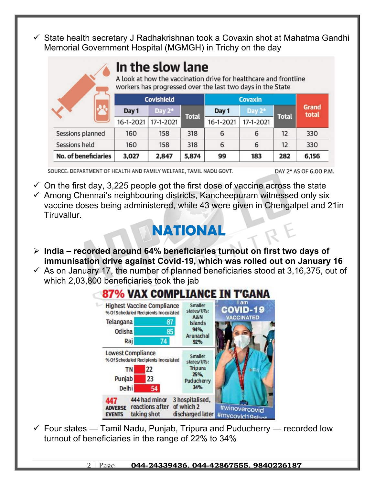$\checkmark$  State health secretary J Radhakrishnan took a Covaxin shot at Mahatma Gandhi Memorial Government Hospital (MGMGH) in Trichy on the day

## In the slow lane

A look at how the vaccination drive for healthcare and frontline workers has progressed over the last two days in the State

|                             | <b>Covishield</b> |           |              | <b>Covaxin</b> |           |              |                |
|-----------------------------|-------------------|-----------|--------------|----------------|-----------|--------------|----------------|
|                             | Day 1             | Day $2^*$ | <b>Total</b> | Day 1          | Day 2*    | <b>Total</b> | Grand<br>total |
|                             | $16 - 1 - 2021$   | 17-1-2021 |              | 16-1-2021      | 17-1-2021 |              |                |
| Sessions planned            | 160               | 158       | 318          | 6              | 6         | 12           | 330            |
| Sessions held               | 160               | 158       | 318          | 6              | 6         | 12           | 330            |
| <b>No. of beneficiaries</b> | 3,027             | 2,847     | 5,874        | 99             | 183       | 282          | 6,156          |

SOURCE: DEPARTMENT OF HEALTH AND FAMILY WELFARE, TAMIL NADU GOVT.

DAY 2\* AS OF 6.00 P.M.

 $\checkmark$  On the first day, 3,225 people got the first dose of vaccine across the state  $\checkmark$  Among Chennai's neighbouring districts, Kancheepuram witnessed only six vaccine doses being administered, while 43 were given in Chengalpet and 21in Tiruvallur.

## **NATIONAL**

- **India recorded around 64% beneficiaries turnout on first two days of immunisation drive against Covid-19, which was rolled out on January 16**
- $\checkmark$  As on January 17, the number of planned beneficiaries stood at 3,16,375, out of which 2,03,800 beneficiaries took the jab



 $\checkmark$  Four states — Tamil Nadu, Punjab, Tripura and Puducherry — recorded low turnout of beneficiaries in the range of 22% to 34%

2 | Page **044-24339436, 044-42867555, 9840226187**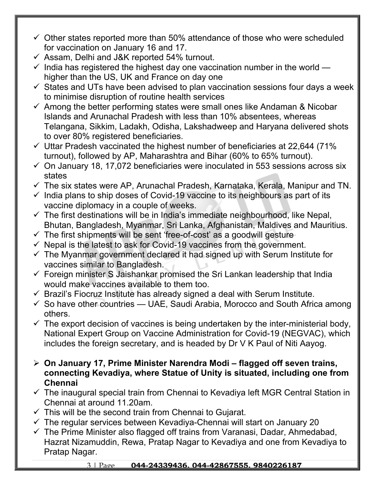- $\checkmark$  Other states reported more than 50% attendance of those who were scheduled for vaccination on January 16 and 17.
- $\checkmark$  Assam, Delhi and J&K reported 54% turnout.
- $\checkmark$  India has registered the highest day one vaccination number in the world higher than the US, UK and France on day one
- $\checkmark$  States and UTs have been advised to plan vaccination sessions four days a week to minimise disruption of routine health services
- $\checkmark$  Among the better performing states were small ones like Andaman & Nicobar Islands and Arunachal Pradesh with less than 10% absentees, whereas Telangana, Sikkim, Ladakh, Odisha, Lakshadweep and Haryana delivered shots to over 80% registered beneficiaries.
- $\checkmark$  Uttar Pradesh vaccinated the highest number of beneficiaries at 22,644 (71%) turnout), followed by AP, Maharashtra and Bihar (60% to 65% turnout).
- $\checkmark$  On January 18, 17,072 beneficiaries were inoculated in 553 sessions across six states
- $\checkmark$  The six states were AP, Arunachal Pradesh, Karnataka, Kerala, Manipur and TN.
- $\checkmark$  India plans to ship doses of Covid-19 vaccine to its neighbours as part of its vaccine diplomacy in a couple of weeks.
- $\checkmark$  The first destinations will be in India's immediate neighbourhood, like Nepal, Bhutan, Bangladesh, Myanmar, Sri Lanka, Afghanistan, Maldives and Mauritius.
- $\checkmark$  The first shipments will be sent 'free-of-cost' as a goodwill gesture
- $\checkmark$  Nepal is the latest to ask for Covid-19 vaccines from the government.
- $\checkmark$  The Myanmar government declared it had signed up with Serum Institute for vaccines similar to Bangladesh.
- $\checkmark$  Foreign minister S Jaishankar promised the Sri Lankan leadership that India would make vaccines available to them too.
- $\checkmark$  Brazil's Fiocruz Institute has already signed a deal with Serum Institute.
- $\checkmark$  So have other countries UAE, Saudi Arabia, Morocco and South Africa among others.
- $\checkmark$  The export decision of vaccines is being undertaken by the inter-ministerial body, National Expert Group on Vaccine Administration for Covid-19 (NEGVAC), which includes the foreign secretary, and is headed by Dr V K Paul of Niti Aayog.
- **On January 17, Prime Minister Narendra Modi flagged off seven trains, connecting Kevadiya, where Statue of Unity is situated, including one from Chennai**
- $\checkmark$  The inaugural special train from Chennai to Kevadiya left MGR Central Station in Chennai at around 11.20am.
- $\checkmark$  This will be the second train from Chennai to Gujarat.
- $\checkmark$  The regular services between Kevadiya-Chennai will start on January 20
- $\checkmark$  The Prime Minister also flagged off trains from Varanasi, Dadar, Ahmedabad, Hazrat Nizamuddin, Rewa, Pratap Nagar to Kevadiya and one from Kevadiya to Pratap Nagar.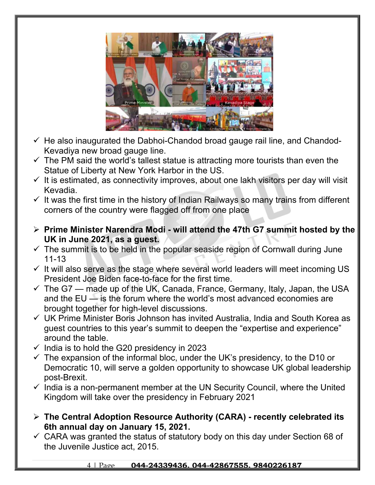

- $\checkmark$  He also inaugurated the Dabhoi-Chandod broad gauge rail line, and Chandod-Kevadiya new broad gauge line.
- $\checkmark$  The PM said the world's tallest statue is attracting more tourists than even the Statue of Liberty at New York Harbor in the US.
- $\checkmark$  It is estimated, as connectivity improves, about one lakh visitors per day will visit Kevadia.
- $\checkmark$  It was the first time in the history of Indian Railways so many trains from different corners of the country were flagged off from one place
- **Prime Minister Narendra Modi will attend the 47th G7 summit hosted by the UK in June 2021, as a guest.**
- $\checkmark$  The summit is to be held in the popular seaside region of Cornwall during June 11-13
- $\checkmark$  It will also serve as the stage where several world leaders will meet incoming US President Joe Biden face-to-face for the first time.
- $\checkmark$  The G7 made up of the UK, Canada, France, Germany, Italy, Japan, the USA and the EU — is the forum where the world's most advanced economies are brought together for high-level discussions.
- UK Prime Minister Boris Johnson has invited Australia, India and South Korea as guest countries to this year's summit to deepen the "expertise and experience" around the table.
- $\checkmark$  India is to hold the G20 presidency in 2023
- $\checkmark$  The expansion of the informal bloc, under the UK's presidency, to the D10 or Democratic 10, will serve a golden opportunity to showcase UK global leadership post-Brexit.
- $\checkmark$  India is a non-permanent member at the UN Security Council, where the United Kingdom will take over the presidency in February 2021
- **The Central Adoption Resource Authority (CARA) recently celebrated its 6th annual day on January 15, 2021.**
- $\checkmark$  CARA was granted the status of statutory body on this day under Section 68 of the Juvenile Justice act, 2015.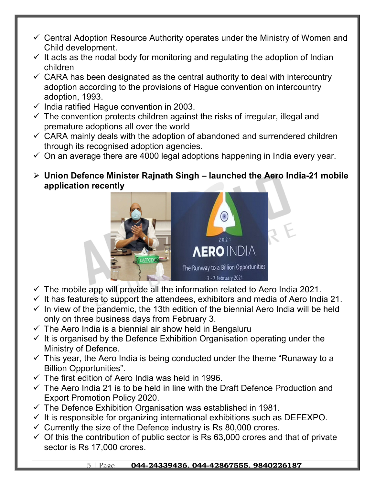- $\checkmark$  Central Adoption Resource Authority operates under the Ministry of Women and Child development.
- $\checkmark$  It acts as the nodal body for monitoring and regulating the adoption of Indian children
- $\checkmark$  CARA has been designated as the central authority to deal with intercountry adoption according to the provisions of Hague convention on intercountry adoption, 1993.
- $\checkmark$  India ratified Hague convention in 2003.
- $\checkmark$  The convention protects children against the risks of irregular, illegal and premature adoptions all over the world
- $\checkmark$  CARA mainly deals with the adoption of abandoned and surrendered children through its recognised adoption agencies.
- $\checkmark$  On an average there are 4000 legal adoptions happening in India every year.
- **Union Defence Minister Rajnath Singh launched the Aero India-21 mobile application recently**



- $\checkmark$  The mobile app will provide all the information related to Aero India 2021.
- $\checkmark$  It has features to support the attendees, exhibitors and media of Aero India 21.
- $\checkmark$  In view of the pandemic, the 13th edition of the biennial Aero India will be held only on three business days from February 3.
- $\checkmark$  The Aero India is a biennial air show held in Bengaluru
- $\checkmark$  It is organised by the Defence Exhibition Organisation operating under the Ministry of Defence.
- $\checkmark$  This year, the Aero India is being conducted under the theme "Runaway to a Billion Opportunities".
- $\checkmark$  The first edition of Aero India was held in 1996.
- $\checkmark$  The Aero India 21 is to be held in line with the Draft Defence Production and Export Promotion Policy 2020.
- $\checkmark$  The Defence Exhibition Organisation was established in 1981.
- $\checkmark$  It is responsible for organizing international exhibitions such as DEFEXPO.
- $\checkmark$  Currently the size of the Defence industry is Rs 80,000 crores.
- $\checkmark$  Of this the contribution of public sector is Rs 63,000 crores and that of private sector is Rs 17,000 crores.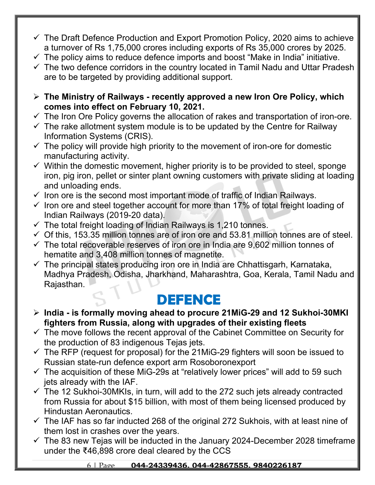- $\checkmark$  The Draft Defence Production and Export Promotion Policy, 2020 aims to achieve a turnover of Rs 1,75,000 crores including exports of Rs 35,000 crores by 2025.
- $\checkmark$  The policy aims to reduce defence imports and boost "Make in India" initiative.
- $\checkmark$  The two defence corridors in the country located in Tamil Nadu and Uttar Pradesh are to be targeted by providing additional support.
- **The Ministry of Railways recently approved a new Iron Ore Policy, which comes into effect on February 10, 2021.**
- $\checkmark$  The Iron Ore Policy governs the allocation of rakes and transportation of iron-ore.
- $\checkmark$  The rake allotment system module is to be updated by the Centre for Railway Information Systems (CRIS).
- $\checkmark$  The policy will provide high priority to the movement of iron-ore for domestic manufacturing activity.
- $\checkmark$  Within the domestic movement, higher priority is to be provided to steel, sponge iron, pig iron, pellet or sinter plant owning customers with private sliding at loading and unloading ends.
- $\checkmark$  Iron ore is the second most important mode of traffic of Indian Railways.
- $\checkmark$  Iron ore and steel together account for more than 17% of total freight loading of Indian Railways (2019-20 data).
- $\checkmark$  The total freight loading of Indian Railways is 1,210 tonnes.
- $\checkmark$  Of this, 153.35 million tonnes are of iron ore and 53.81 million tonnes are of steel.
- $\checkmark$  The total recoverable reserves of iron ore in India are 9,602 million tonnes of hematite and 3,408 million tonnes of magnetite.
- $\checkmark$  The principal states producing iron ore in India are Chhattisgarh, Karnataka, Madhya Pradesh, Odisha, Jharkhand, Maharashtra, Goa, Kerala, Tamil Nadu and Rajasthan.

### **DEFENCE**

- **India is formally moving ahead to procure 21MiG-29 and 12 Sukhoi-30MKI fighters from Russia, along with upgrades of their existing fleets**
- $\checkmark$  The move follows the recent approval of the Cabinet Committee on Security for the production of 83 indigenous Tejas jets.
- $\checkmark$  The RFP (request for proposal) for the 21MiG-29 fighters will soon be issued to Russian state-run defence export arm Rosoboronexport
- $\checkmark$  The acquisition of these MiG-29s at "relatively lower prices" will add to 59 such jets already with the IAF.
- $\checkmark$  The 12 Sukhoi-30MKIs, in turn, will add to the 272 such jets already contracted from Russia for about \$15 billion, with most of them being licensed produced by Hindustan Aeronautics.
- $\checkmark$  The IAF has so far inducted 268 of the original 272 Sukhois, with at least nine of them lost in crashes over the years.
- $\checkmark$  The 83 new Tejas will be inducted in the January 2024-December 2028 timeframe under the ₹46,898 crore deal cleared by the CCS